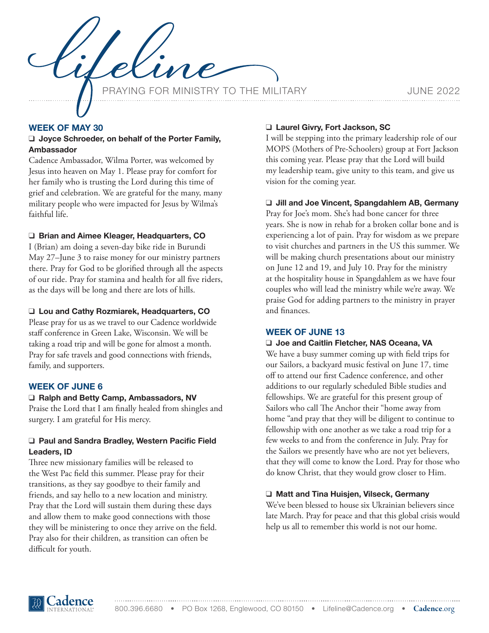ING FOR MINISTRY TO THE MILITARY **For the SAME 2022** 

# **WEEK OF MAY 30**

## ❑ **Joyce Schroeder, on behalf of the Porter Family, Ambassador**

Cadence Ambassador, Wilma Porter, was welcomed by Jesus into heaven on May 1. Please pray for comfort for her family who is trusting the Lord during this time of grief and celebration. We are grateful for the many, many military people who were impacted for Jesus by Wilma's faithful life.

## ❑ **Brian and Aimee Kleager, Headquarters, CO**

I (Brian) am doing a seven-day bike ride in Burundi May 27–June 3 to raise money for our ministry partners there. Pray for God to be glorified through all the aspects of our ride. Pray for stamina and health for all five riders, as the days will be long and there are lots of hills.

#### ❑ **Lou and Cathy Rozmiarek, Headquarters, CO**

Please pray for us as we travel to our Cadence worldwide staff conference in Green Lake, Wisconsin. We will be taking a road trip and will be gone for almost a month. Pray for safe travels and good connections with friends, family, and supporters.

#### **WEEK OF JUNE 6**

#### ❑ **Ralph and Betty Camp, Ambassadors, NV**

Praise the Lord that I am finally healed from shingles and surgery. I am grateful for His mercy.

#### ❑ **Paul and Sandra Bradley, Western Pacific Field Leaders, ID**

Three new missionary families will be released to the West Pac field this summer. Please pray for their transitions, as they say goodbye to their family and friends, and say hello to a new location and ministry. Pray that the Lord will sustain them during these days and allow them to make good connections with those they will be ministering to once they arrive on the field. Pray also for their children, as transition can often be difficult for youth.

## ❑ **Laurel Givry, Fort Jackson, SC**

I will be stepping into the primary leadership role of our MOPS (Mothers of Pre-Schoolers) group at Fort Jackson this coming year. Please pray that the Lord will build my leadership team, give unity to this team, and give us vision for the coming year.

#### ❑ **Jill and Joe Vincent, Spangdahlem AB, Germany**

Pray for Joe's mom. She's had bone cancer for three years. She is now in rehab for a broken collar bone and is experiencing a lot of pain. Pray for wisdom as we prepare to visit churches and partners in the US this summer. We will be making church presentations about our ministry on June 12 and 19, and July 10. Pray for the ministry at the hospitality house in Spangdahlem as we have four couples who will lead the ministry while we're away. We praise God for adding partners to the ministry in prayer and finances.

#### **WEEK OF JUNE 13**

# ❑ **Joe and Caitlin Fletcher, NAS Oceana, VA**

We have a busy summer coming up with field trips for our Sailors, a backyard music festival on June 17, time off to attend our first Cadence conference, and other additions to our regularly scheduled Bible studies and fellowships. We are grateful for this present group of Sailors who call The Anchor their "home away from home "and pray that they will be diligent to continue to fellowship with one another as we take a road trip for a few weeks to and from the conference in July. Pray for the Sailors we presently have who are not yet believers, that they will come to know the Lord. Pray for those who do know Christ, that they would grow closer to Him.

#### ❑ **Matt and Tina Huisjen, Vilseck, Germany**

We've been blessed to house six Ukrainian believers since late March. Pray for peace and that this global crisis would help us all to remember this world is not our home.